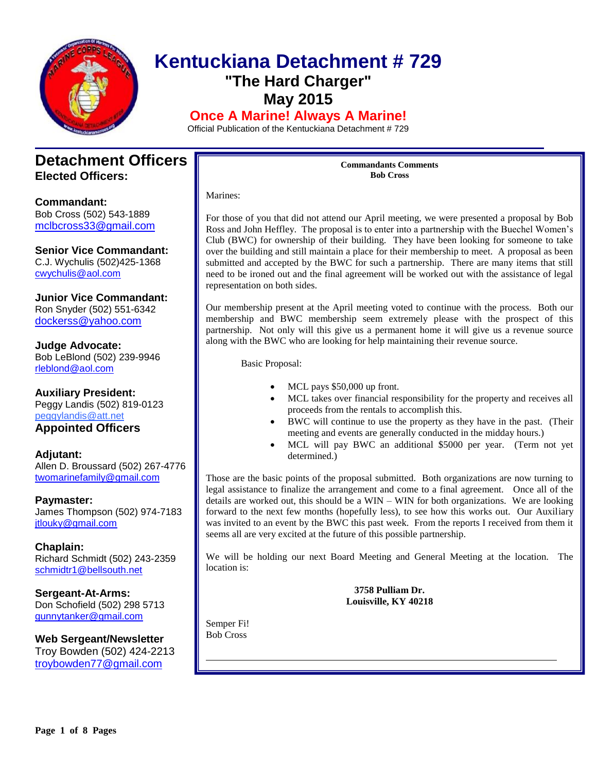

# **Kentuckiana Detachment # 729 "The Hard Charger" May 2015 Once A Marine! Always A Marine!**

Official Publication of the Kentuckiana Detachment # 729

### **Detachment Officers Elected Officers:**

**Commandant:**  Bob Cross (502) 543-1889 [mclbcross33@gmail.com](mailto:Mclcross33@gmail.com)

**Senior Vice Commandant:**

C.J. Wychulis (502)425-1368 cwychulis@aol.com

**Junior Vice Commandant:** Ron Snyder (502) 551-6342 [dockerss@yahoo.com](mailto:dockerss@yahoo.com)

**Judge Advocate:** Bob LeBlond (502) 239-9946 rleblond@aol.com

**Auxiliary President:** Peggy Landis (502) 819-0123 peggylandis@att.net

### **Appointed Officers**

**Adjutant:** Allen D. Broussard (502) 267-4776 [twomarinefamily@gmail.com](https://commcenter.insightbb.com/attach/2006/broussard.marines@insightbb.com)

**Paymaster:** James Thompson (502) 974-7183 [jtlouky@gmail.com](mailto:jtlouky@gmail.com)

**Chaplain:** Richard Schmidt (502) 243-2359 [schmidtr1@bellsouth.net](mailto:Alusmc75@gmail.com)

**Sergeant-At-Arms:** Don Schofield (502) 298 5713 [gunnytanker@gmail.com](mailto:gunnytanker@gmail.com)

**Web Sergeant/Newsletter** Troy Bowden (502) 424-2213 troybowden77@gmail.com

**Commandants Comments Bob Cross**

Marines:

For those of you that did not attend our April meeting, we were presented a proposal by Bob Ross and John Heffley. The proposal is to enter into a partnership with the Buechel Women's Club (BWC) for ownership of their building. They have been looking for someone to take over the building and still maintain a place for their membership to meet. A proposal as been submitted and accepted by the BWC for such a partnership. There are many items that still need to be ironed out and the final agreement will be worked out with the assistance of legal representation on both sides.

Our membership present at the April meeting voted to continue with the process. Both our membership and BWC membership seem extremely please with the prospect of this partnership. Not only will this give us a permanent home it will give us a revenue source along with the BWC who are looking for help maintaining their revenue source.

Basic Proposal:

- MCL pays \$50,000 up front.
- MCL takes over financial responsibility for the property and receives all proceeds from the rentals to accomplish this.
- BWC will continue to use the property as they have in the past. (Their meeting and events are generally conducted in the midday hours.)
- MCL will pay BWC an additional \$5000 per year. (Term not yet determined.)

Those are the basic points of the proposal submitted. Both organizations are now turning to legal assistance to finalize the arrangement and come to a final agreement. Once all of the details are worked out, this should be a WIN – WIN for both organizations. We are looking forward to the next few months (hopefully less), to see how this works out. Our Auxiliary was invited to an event by the BWC this past week. From the reports I received from them it seems all are very excited at the future of this possible partnership.

We will be holding our next Board Meeting and General Meeting at the location. The location is:

> **3758 Pulliam Dr. Louisville, KY 40218**

Semper Fi! Bob Cross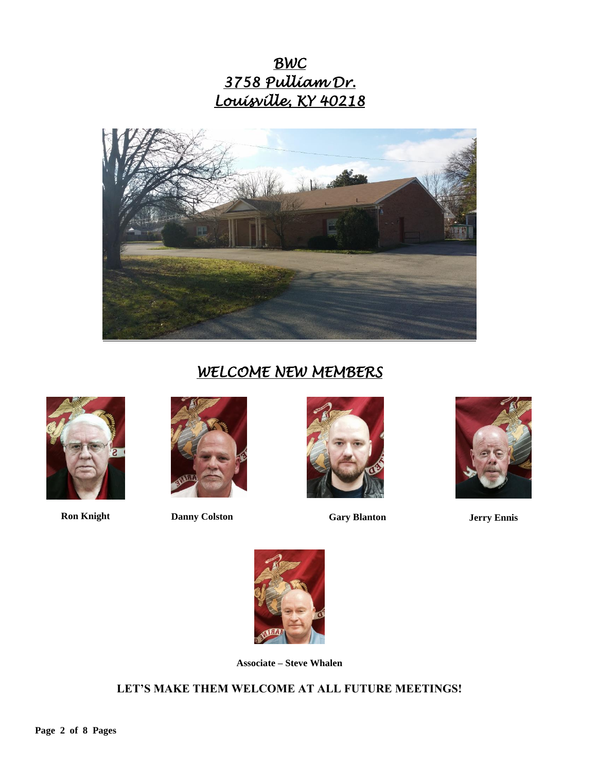*BWC 3758 Pulliam Dr. Louisville, KY 40218* 



# *WELCOME NEW MEMBERS*





**Ron Knight Danny Colston Gary Blanton Jerry Ennis**







**Associate – Steve Whalen**

### **LET'S MAKE THEM WELCOME AT ALL FUTURE MEETINGS!**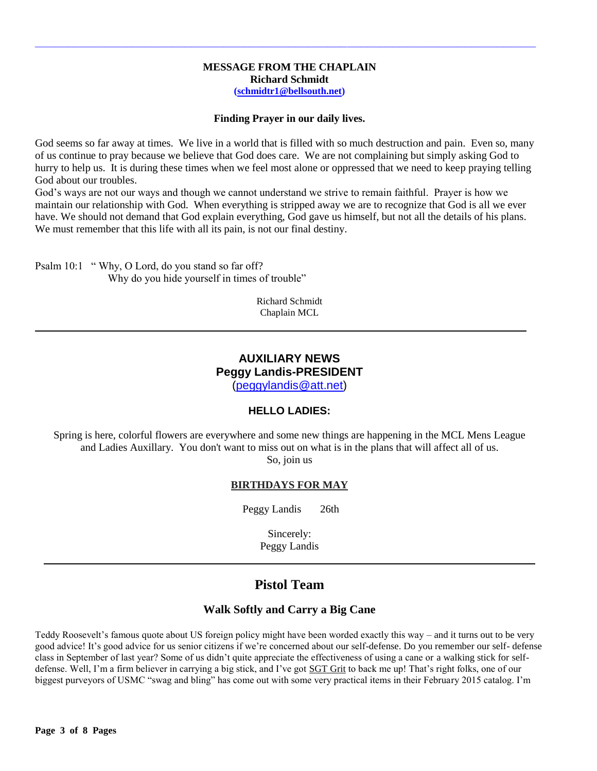#### **MESSAGE FROM THE CHAPLAIN Richard Schmidt [\(schmidtr1@bellsouth.net\)](mailto:schmidtr1@bellsouth.net)**

**\_\_\_\_\_\_\_\_\_\_\_\_\_\_\_\_\_\_\_\_\_\_\_\_\_\_\_\_\_\_\_\_\_\_\_\_\_\_\_\_\_\_\_\_\_\_\_\_\_\_\_\_\_\_\_\_\_\_\_\_\_\_\_\_\_\_\_\_\_\_\_\_\_\_\_\_\_**

#### **Finding Prayer in our daily lives.**

God seems so far away at times. We live in a world that is filled with so much destruction and pain. Even so, many of us continue to pray because we believe that God does care. We are not complaining but simply asking God to hurry to help us. It is during these times when we feel most alone or oppressed that we need to keep praying telling God about our troubles.

God's ways are not our ways and though we cannot understand we strive to remain faithful. Prayer is how we maintain our relationship with God. When everything is stripped away we are to recognize that God is all we ever have. We should not demand that God explain everything, God gave us himself, but not all the details of his plans. We must remember that this life with all its pain, is not our final destiny.

Psalm 10:1 " Why, O Lord, do you stand so far off? Why do you hide yourself in times of trouble"

> Richard Schmidt Chaplain MCL

### **AUXILIARY NEWS Peggy Landis-PRESIDENT**

[\(peggylandis@att.net\)](file:///C:/Users/Bob/AppData/Local/Microsoft/Windows/Temporary%20Internet%20Files/Bob/AppData/Local/Microsoft/Windows/Temporary%20Internet%20Files/Content.IE5/E9IEDDJK/peggylandis@att.net)

### **HELLO LADIES:**

Spring is here, colorful flowers are everywhere and some new things are happening in the MCL Mens League and Ladies Auxillary. You don't want to miss out on what is in the plans that will affect all of us. So, join us

#### **BIRTHDAYS FOR MAY**

Peggy Landis 26th

Sincerely: Peggy Landis

### **Pistol Team**

#### **Walk Softly and Carry a Big Cane**

Teddy Roosevelt's famous quote about US foreign policy might have been worded exactly this way – and it turns out to be very good advice! It's good advice for us senior citizens if we're concerned about our self-defense. Do you remember our self- defense class in September of last year? Some of us didn't quite appreciate the effectiveness of using a cane or a walking stick for selfdefense. Well, I'm a firm believer in carrying a big stick, and I've got SGT Grit to back me up! That's right folks, one of our biggest purveyors of USMC "swag and bling" has come out with some very practical items in their February 2015 catalog. I'm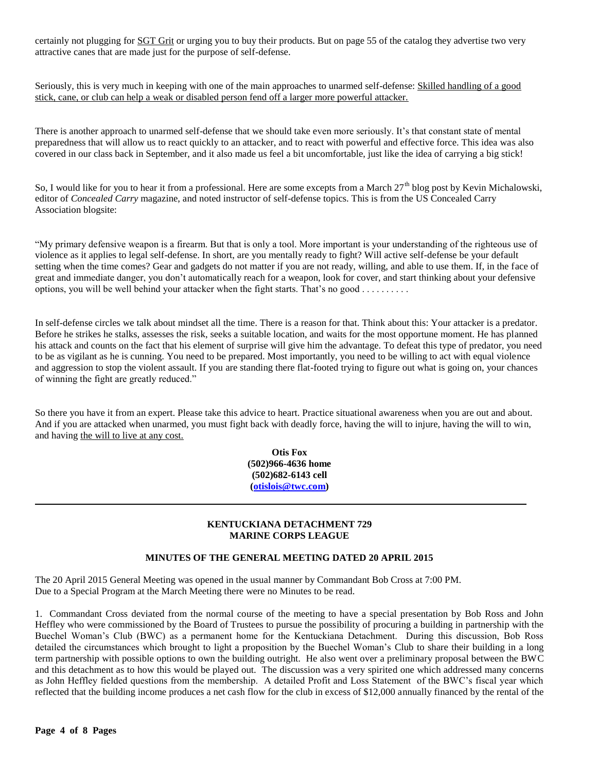certainly not plugging for SGT Grit or urging you to buy their products. But on page 55 of the catalog they advertise two very attractive canes that are made just for the purpose of self-defense.

Seriously, this is very much in keeping with one of the main approaches to unarmed self-defense: Skilled handling of a good stick, cane, or club can help a weak or disabled person fend off a larger more powerful attacker.

There is another approach to unarmed self-defense that we should take even more seriously. It's that constant state of mental preparedness that will allow us to react quickly to an attacker, and to react with powerful and effective force. This idea was also covered in our class back in September, and it also made us feel a bit uncomfortable, just like the idea of carrying a big stick!

So, I would like for you to hear it from a professional. Here are some excepts from a March  $27<sup>th</sup>$  blog post by Kevin Michalowski, editor of *Concealed Carry* magazine, and noted instructor of self-defense topics. This is from the US Concealed Carry Association blogsite:

"My primary defensive weapon is a firearm. But that is only a tool. More important is your understanding of the righteous use of violence as it applies to legal self-defense. In short, are you mentally ready to fight? Will active self-defense be your default setting when the time comes? Gear and gadgets do not matter if you are not ready, willing, and able to use them. If, in the face of great and immediate danger, you don't automatically reach for a weapon, look for cover, and start thinking about your defensive options, you will be well behind your attacker when the fight starts. That's no good . . . . . . . . . .

In self-defense circles we talk about mindset all the time. There is a reason for that. Think about this: Your attacker is a predator. Before he strikes he stalks, assesses the risk, seeks a suitable location, and waits for the most opportune moment. He has planned his attack and counts on the fact that his element of surprise will give him the advantage. To defeat this type of predator, you need to be as vigilant as he is cunning. You need to be prepared. Most importantly, you need to be willing to act with equal violence and aggression to stop the violent assault. If you are standing there flat-footed trying to figure out what is going on, your chances of winning the fight are greatly reduced."

So there you have it from an expert. Please take this advice to heart. Practice situational awareness when you are out and about. And if you are attacked when unarmed, you must fight back with deadly force, having the will to injure, having the will to win, and having the will to live at any cost.

> **Otis Fox (502)966-4636 home (502)682-6143 cell [\(otislois@twc.com\)](mailto:otislois@twc.com)**

#### **KENTUCKIANA DETACHMENT 729 MARINE CORPS LEAGUE**

#### **MINUTES OF THE GENERAL MEETING DATED 20 APRIL 2015**

The 20 April 2015 General Meeting was opened in the usual manner by Commandant Bob Cross at 7:00 PM. Due to a Special Program at the March Meeting there were no Minutes to be read.

1. Commandant Cross deviated from the normal course of the meeting to have a special presentation by Bob Ross and John Heffley who were commissioned by the Board of Trustees to pursue the possibility of procuring a building in partnership with the Buechel Woman's Club (BWC) as a permanent home for the Kentuckiana Detachment. During this discussion, Bob Ross detailed the circumstances which brought to light a proposition by the Buechel Woman's Club to share their building in a long term partnership with possible options to own the building outright. He also went over a preliminary proposal between the BWC and this detachment as to how this would be played out. The discussion was a very spirited one which addressed many concerns as John Heffley fielded questions from the membership. A detailed Profit and Loss Statement of the BWC's fiscal year which reflected that the building income produces a net cash flow for the club in excess of \$12,000 annually financed by the rental of the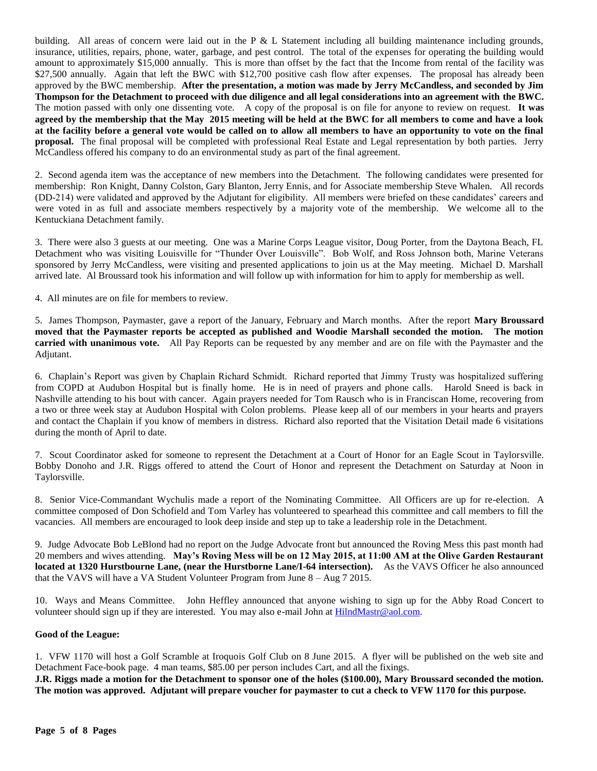building. All areas of concern were laid out in the P & L Statement including all building maintenance including grounds, insurance, utilities, repairs, phone, water, garbage, and pest control. The total of the expenses for operating the building would amount to approximately \$15,000 annually. This is more than offset by the fact that the Income from rental of the facility was \$27,500 annually. Again that left the BWC with \$12,700 positive cash flow after expenses. The proposal has already been approved by the BWC membership. **After the presentation, a motion was made by Jerry McCandless, and seconded by Jim Thompson for the Detachment to proceed with due diligence and all legal considerations into an agreement with the BWC.** The motion passed with only one dissenting vote. A copy of the proposal is on file for anyone to review on request. **It was agreed by the membership that the May 2015 meeting will be held at the BWC for all members to come and have a look at the facility before a general vote would be called on to allow all members to have an opportunity to vote on the final proposal.** The final proposal will be completed with professional Real Estate and Legal representation by both parties. Jerry McCandless offered his company to do an environmental study as part of the final agreement.

2. Second agenda item was the acceptance of new members into the Detachment. The following candidates were presented for membership: Ron Knight, Danny Colston, Gary Blanton, Jerry Ennis, and for Associate membership Steve Whalen. All records (DD-214) were validated and approved by the Adjutant for eligibility. All members were briefed on these candidates' careers and were voted in as full and associate members respectively by a majority vote of the membership. We welcome all to the Kentuckiana Detachment family.

3. There were also 3 guests at our meeting. One was a Marine Corps League visitor, Doug Porter, from the Daytona Beach, FL Detachment who was visiting Louisville for "Thunder Over Louisville". Bob Wolf, and Ross Johnson both, Marine Veterans sponsored by Jerry McCandless, were visiting and presented applications to join us at the May meeting. Michael D. Marshall arrived late. Al Broussard took his information and will follow up with information for him to apply for membership as well.

4. All minutes are on file for members to review.

5. James Thompson, Paymaster, gave a report of the January, February and March months. After the report **Mary Broussard moved that the Paymaster reports be accepted as published and Woodie Marshall seconded the motion. The motion carried with unanimous vote.** All Pay Reports can be requested by any member and are on file with the Paymaster and the Adjutant.

6. Chaplain's Report was given by Chaplain Richard Schmidt. Richard reported that Jimmy Trusty was hospitalized suffering from COPD at Audubon Hospital but is finally home. He is in need of prayers and phone calls. Harold Sneed is back in Nashville attending to his bout with cancer. Again prayers needed for Tom Rausch who is in Franciscan Home, recovering from a two or three week stay at Audubon Hospital with Colon problems. Please keep all of our members in your hearts and prayers and contact the Chaplain if you know of members in distress. Richard also reported that the Visitation Detail made 6 visitations during the month of April to date.

7. Scout Coordinator asked for someone to represent the Detachment at a Court of Honor for an Eagle Scout in Taylorsville. Bobby Donoho and J.R. Riggs offered to attend the Court of Honor and represent the Detachment on Saturday at Noon in Taylorsville.

8. Senior Vice-Commandant Wychulis made a report of the Nominating Committee. All Officers are up for re-election. A committee composed of Don Schofield and Tom Varley has volunteered to spearhead this committee and call members to fill the vacancies. All members are encouraged to look deep inside and step up to take a leadership role in the Detachment.

9. Judge Advocate Bob LeBlond had no report on the Judge Advocate front but announced the Roving Mess this past month had 20 members and wives attending. **May's Roving Mess will be on 12 May 2015, at 11:00 AM at the Olive Garden Restaurant located at 1320 Hurstbourne Lane, (near the Hurstborne Lane/I-64 intersection).** As the VAVS Officer he also announced that the VAVS will have a VA Student Volunteer Program from June 8 – Aug 7 2015.

10. Ways and Means Committee. John Heffley announced that anyone wishing to sign up for the Abby Road Concert to volunteer should sign up if they are interested. You may also e-mail John a[t HilndMastr@aol.com.](mailto:HilndMastr@aol.com)

#### **Good of the League:**

1. VFW 1170 will host a Golf Scramble at Iroquois Golf Club on 8 June 2015. A flyer will be published on the web site and Detachment Face-book page. 4 man teams, \$85.00 per person includes Cart, and all the fixings.

**J.R. Riggs made a motion for the Detachment to sponsor one of the holes (\$100.00), Mary Broussard seconded the motion. The motion was approved. Adjutant will prepare voucher for paymaster to cut a check to VFW 1170 for this purpose.**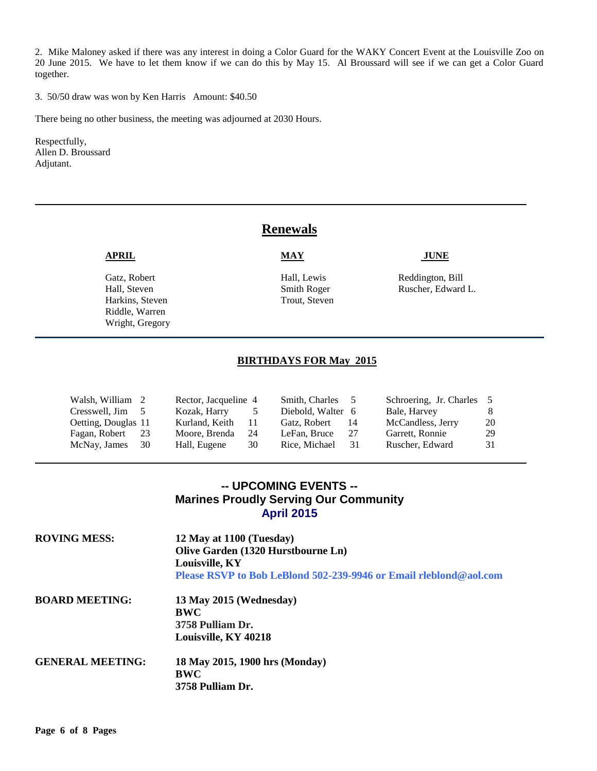2. Mike Maloney asked if there was any interest in doing a Color Guard for the WAKY Concert Event at the Louisville Zoo on 20 June 2015. We have to let them know if we can do this by May 15. Al Broussard will see if we can get a Color Guard together.

3. 50/50 draw was won by Ken Harris Amount: \$40.50

There being no other business, the meeting was adjourned at 2030 Hours.

Respectfully, Allen D. Broussard Adjutant.

### **Renewals**

Harkins, Steven Trout, Steven Riddle, Warren Wright, Gregory

#### **APRIL MAY JUNE**

Gatz, Robert **Fall, Lewis** Hall, Lewis Reddington, Bill Hall, Steven Ruscher, Edward Smith Roger Ruscher, Edward L.

#### **BIRTHDAYS FOR May 2015**

| Walsh, William 2    |      | Rector, Jacqueline 4 |    | Smith, Charles    | $\overline{z}$ | Schroering, Jr. Charles |    |
|---------------------|------|----------------------|----|-------------------|----------------|-------------------------|----|
| Cresswell, Jim 5    |      | Kozak, Harry         |    | Diebold, Walter 6 |                | Bale, Harvey            |    |
| Oetting, Douglas 11 |      | Kurland, Keith       |    | Gatz, Robert      | 14             | McCandless, Jerry       | 20 |
| Fagan, Robert       | 23   | Moore, Brenda        | 24 | LeFan, Bruce      | -27            | Garrett, Ronnie         | 29 |
| McNay, James        | - 30 | Hall, Eugene         | 30 | Rice, Michael     | -31            | Ruscher, Edward         | 31 |

### **-- UPCOMING EVENTS -- Marines Proudly Serving Our Community April 2015**

| <b>ROVING MESS:</b>     | 12 May at 1100 (Tuesday)<br>Olive Garden (1320 Hurstbourne Ln)<br>Louisville, KY<br>Please RSVP to Bob LeBlond 502-239-9946 or Email rieblond@aol.com |
|-------------------------|-------------------------------------------------------------------------------------------------------------------------------------------------------|
| <b>BOARD MEETING:</b>   | 13 May 2015 (Wednesday)<br>BWC<br>3758 Pulliam Dr.<br>Louisville, KY 40218                                                                            |
| <b>GENERAL MEETING:</b> | 18 May 2015, 1900 hrs (Monday)<br>BWC<br>3758 Pulliam Dr.                                                                                             |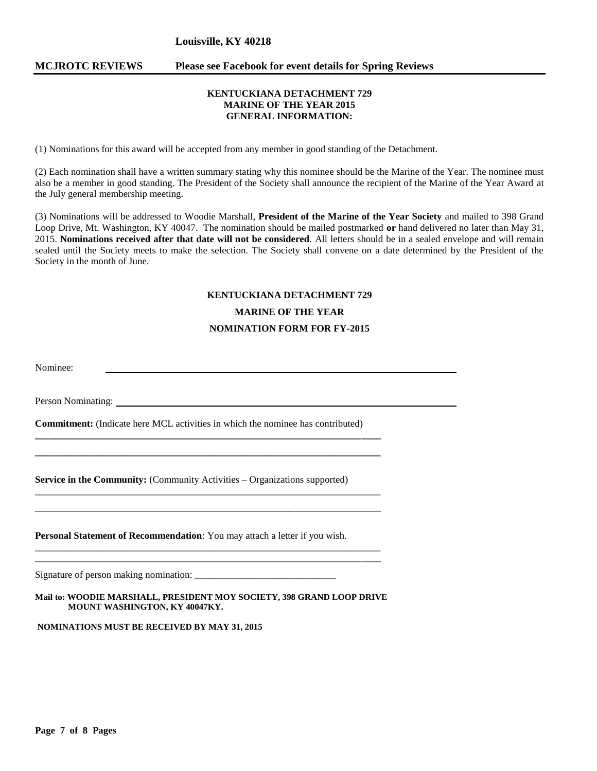#### **Louisville, KY 40218**

#### **MCJROTC REVIEWS Please see Facebook for event details for Spring Reviews**

#### **KENTUCKIANA DETACHMENT 729 MARINE OF THE YEAR 2015 GENERAL INFORMATION:**

(1) Nominations for this award will be accepted from any member in good standing of the Detachment.

(2) Each nomination shall have a written summary stating why this nominee should be the Marine of the Year. The nominee must also be a member in good standing. The President of the Society shall announce the recipient of the Marine of the Year Award at the July general membership meeting.

(3) Nominations will be addressed to Woodie Marshall, **President of the Marine of the Year Society** and mailed to 398 Grand Loop Drive, Mt. Washington, KY 40047. The nomination should be mailed postmarked **or** hand delivered no later than May 31, 2015. **Nominations received after that date will not be considered**. All letters should be in a sealed envelope and will remain sealed until the Society meets to make the selection. The Society shall convene on a date determined by the President of the Society in the month of June.

## **KENTUCKIANA DETACHMENT 729 MARINE OF THE YEAR NOMINATION FORM FOR FY-2015**

Nominee:

Person Nominating:

**Commitment:** (Indicate here MCL activities in which the nominee has contributed)

**\_\_\_\_\_\_\_\_\_\_\_\_\_\_\_\_\_\_\_\_\_\_\_\_\_\_\_\_\_\_\_\_\_\_\_\_\_\_\_\_\_\_\_\_\_\_\_\_\_\_\_\_\_\_\_\_\_\_\_\_\_\_\_\_\_\_\_\_\_\_\_ \_\_\_\_\_\_\_\_\_\_\_\_\_\_\_\_\_\_\_\_\_\_\_\_\_\_\_\_\_\_\_\_\_\_\_\_\_\_\_\_\_\_\_\_\_\_\_\_\_\_\_\_\_\_\_\_\_\_\_\_\_\_\_\_\_\_\_\_\_\_\_**

\_\_\_\_\_\_\_\_\_\_\_\_\_\_\_\_\_\_\_\_\_\_\_\_\_\_\_\_\_\_\_\_\_\_\_\_\_\_\_\_\_\_\_\_\_\_\_\_\_\_\_\_\_\_\_\_\_\_\_\_\_\_\_\_\_\_\_\_\_\_\_ \_\_\_\_\_\_\_\_\_\_\_\_\_\_\_\_\_\_\_\_\_\_\_\_\_\_\_\_\_\_\_\_\_\_\_\_\_\_\_\_\_\_\_\_\_\_\_\_\_\_\_\_\_\_\_\_\_\_\_\_\_\_\_\_\_\_\_\_\_\_\_

\_\_\_\_\_\_\_\_\_\_\_\_\_\_\_\_\_\_\_\_\_\_\_\_\_\_\_\_\_\_\_\_\_\_\_\_\_\_\_\_\_\_\_\_\_\_\_\_\_\_\_\_\_\_\_\_\_\_\_\_\_\_\_\_\_\_\_\_\_\_\_ \_\_\_\_\_\_\_\_\_\_\_\_\_\_\_\_\_\_\_\_\_\_\_\_\_\_\_\_\_\_\_\_\_\_\_\_\_\_\_\_\_\_\_\_\_\_\_\_\_\_\_\_\_\_\_\_\_\_\_\_\_\_\_\_\_\_\_\_\_\_\_

**Service in the Community:** (Community Activities – Organizations supported)

**Personal Statement of Recommendation**: You may attach a letter if you wish.

Signature of person making nomination:

**Mail to: WOODIE MARSHALL, PRESIDENT MOY SOCIETY, 398 GRAND LOOP DRIVE MOUNT WASHINGTON, KY 40047KY.** 

**NOMINATIONS MUST BE RECEIVED BY MAY 31, 2015**